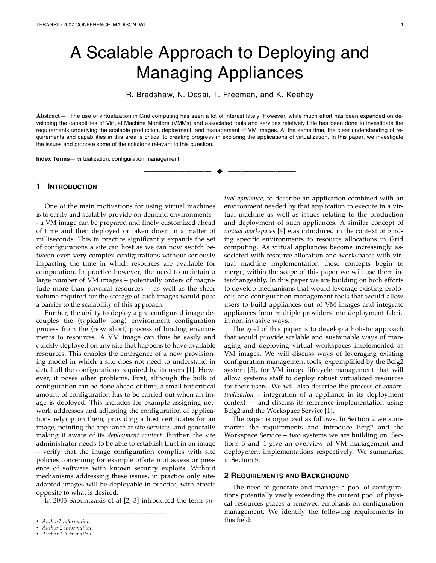# A Scalable Approach to Deploying and Managing Appliances

R. Bradshaw, N. Desai, T. Freeman, and K. Keahey

**Abstract**— The use of virtualization in Grid computing has seen a lot of interest lately. However, while much effort has been expanded on developing the capabilities of Virtual Machine Monitors (VMMs) and associated tools and services relatively little has been done to investigate the requirements underlying the scalable production, deployment, and management of VM images. At the same time, the clear understanding of requirements and capabilities in this area is critical to creating progress in exploring the applications of virtualization. In this paper, we investigate the issues and propose some of the solutions relevant to this question.

—————————— ——————————

**Index Terms**— virtualization, configuration management

## **1 INTRODUCTION**

One of the main motivations for using virtual machines is to easily and scalably provide on-demand environments - - a VM image can be prepared and finely customized ahead of time and then deployed or taken down in a matter of milliseconds. This in practice significantly expands the set of configurations a site can host as we can now switch between even very complex configurations without seriously impacting the time in which resources are available for computation. In practice however, the need to maintain a large number of VM images – potentially orders of magnitude more than physical resources -- as well as the sheer volume required for the storage of such images would pose a barrier to the scalability of this approach.

Further, the ability to deploy a pre-configured image decouples the (typically long) environment configuration process from the (now short) process of binding environments to resources. A VM image can thus be easily and quickly deployed on any site that happens to have available resources. This enables the emergence of a new provisioning model in which a site does not need to understand in detail all the configurations required by its users [1]. However, it poses other problems. First, although the bulk of configuration can be done ahead of time, a small but critical amount of configuration has to be carried out when an image is deployed. This includes for example assigning network addresses and adjusting the configuration of applications relying on them, providing a host certificates for an image, pointing the appliance at site services, and generally making it aware of its *deployment context*. Further, the site administrator needs to be able to establish trust in an image – verify that the image configuration complies with site policies concerning for example offsite root access or presence of software with known security exploits. Without mechanisms addressing these issues, in practice only siteadapted images will be deployable in practice, with effects opposite to what is desired.

In 2003 Sapuntzakis et al [2, 3] introduced the term *vir-*

————————————————

*tual appliance,* to describe an application combined with an environment needed by that application to execute in a virtual machine as well as issues relating to the production and deployment of such appliances. A similar concept of *virtual workspaces* [4] was introduced in the context of binding specific environments to resource allocations in Grid computing. As virtual appliances become increasingly associated with resource allocation and workspaces with virtual machine implementation these concepts begin to merge; within the scope of this paper we will use them interchangeably. In this paper we are building on both efforts to develop mechanisms that would leverage existing protocols and configuration management tools that would allow users to build appliances out of VM images and integrate appliances from multiple providers into deployment fabric in non-invasive ways.

The goal of this paper is to develop a holistic approach that would provide scalable and sustainable ways of managing and deploying virtual workspaces implemented as VM images. We will discuss ways of leveraging existing configuration management tools, expemplified by the Bcfg2 system [5], for VM image lifecycle management that will allow systems staff to deploy robust virtualized resources for their users. We will also describe the process of *contextualization* – integration of a appliance in its deployment context -- and discuss its reference implementation using Bcfg2 and the Workspace Service [1].

The paper is organized as follows. In Section 2 we summarize the requirements and introduce Bcfg2 and the Workspace Service – two systems we are building on. Sections 3 and 4 give an overview of VM management and deployment implementations respectively. We summarize in Section 5.

#### **2 REQUIREMENTS AND BACKGROUND**

The need to generate and manage a pool of configurations potentially vastly exceeding the current pool of physical resources places a renewed emphasis on configuration management. We identify the following requirements in this field:

<sup>•</sup> *Author1 information*

<sup>•</sup> *Author 2 information*

<sup>•</sup> *Author 3 information*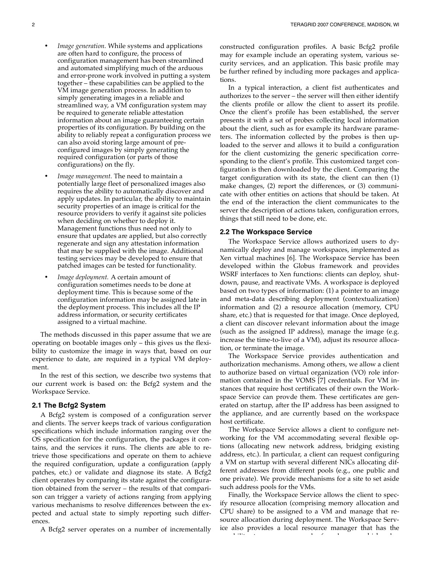- *Image generation.* While systems and applications are often hard to configure, the process of configuration management has been streamlined and automated simplifying much of the arduous and error-prone work involved in putting a system together – these capabilities can be applied to the VM image generation process. In addition to simply generating images in a reliable and streamlined way, a VM configuration system may be required to generate reliable attestation information about an image guaranteeing certain properties of its configuration. By building on the ability to reliably repeat a configuration process we can also avoid storing large amount of preconfigured images by simply generating the required configuration (or parts of those configurations) on the fly.
- *Image management.* The need to maintain a potentially large fleet of personalized images also requires the ability to automatically discover and apply updates. In particular, the ability to maintain security properties of an image is critical for the resource providers to verify it against site policies when deciding on whether to deploy it. Management functions thus need not only to ensure that updates are applied, but also correctly regenerate and sign any attestation information that may be supplied with the image. Additional testing services may be developed to ensure that patched images can be tested for functionality.
- *Image deployment.* A certain amount of configuration sometimes needs to be done at deployment time. This is because some of the configuration information may be assigned late in the deployment process. This includes all the IP address information, or security certificates assigned to a virtual machine.

The methods discussed in this paper assume that we are operating on bootable images only – this gives us the flexibility to customize the image in ways that, based on our experience to date, are required in a typical VM deployment.

In the rest of this section, we describe two systems that our current work is based on: the Bcfg2 system and the Workspace Service.

### **2.1 The Bcfg2 System**

A Bcfg2 system is composed of a configuration server and clients. The server keeps track of various configuration specifications which include information ranging over the OS specification for the configuration, the packages it contains, and the services it runs. The clients are able to retrieve those specifications and operate on them to achieve the required configuration, update a configuration (apply patches, etc.) or validate and diagnose its state. A Bcfg2 client operates by comparing its state against the configuration obtained from the server – the results of that comparison can trigger a variety of actions ranging from applying various mechanisms to resolve differences between the expected and actual state to simply reporting such differences.

A Bcfg2 server operates on a number of incrementally

constructed configuration profiles. A basic Bcfg2 profile may for example include an operating system, various security services, and an application. This basic profile may be further refined by including more packages and applications.

In a typical interaction, a client fist authenticates and authorizes to the server – the server will then either identify the clients profile or allow the client to assert its profile. Once the client's profile has been established, the server presents it with a set of probes collecting local information about the client, such as for example its hardware parameters. The information collected by the probes is then uploaded to the server and allows it to build a configuration for the client customizing the generic specification corresponding to the client's profile. This customized target configuration is then downloaded by the client. Comparing the target configuration with its state, the client can then (1) make changes, (2) report the differences, or (3) communicate with other entities on actions that should be taken. At the end of the interaction the client communicates to the server the description of actions taken, configuration errors, things that still need to be done, etc.

#### **2.2 The Workspace Service**

The Workspace Service allows authorized users to dynamically deploy and manage workspaces, implemented as Xen virtual machines [6]. The Workspace Service has been developed within the Globus framework and provides WSRF interfaces to Xen functions: clients can deploy, shutdown, pause, and reactivate VMs. A workspace is deployed based on two types of information: (1) a pointer to an image and meta-data describing deployment (contextualization) information and (2) a resource allocation (memory, CPU share, etc.) that is requested for that image. Once deployed, a client can discover relevant information about the image (such as the assigned IP address), manage the image (e.g. increase the time-to-live of a VM), adjust its resource allocation, or terminate the image.

The Workspace Service provides authentication and authorization mechanisms. Among others, we allow a client to authorize based on virtual organization (VO) role information contained in the VOMS [7] credentials. For VM instances that require host certificates of their own the Workspace Service can provde them. These certificates are generated on startup, after the IP address has been assigned to the appliance, and are currently based on the workspace host certificate.

The Workspace Service allows a client to configure networking for the VM accommodating several flexible options (allocating new network address, bridging existing address, etc.). In particular, a client can request configuring a VM on startup with several different NICs allocating different addresses from different pools (e.g., one public and one private). We provide mechanisms for a site to set aside such address pools for the VMs.

Finally, the Workspace Service allows the client to specify resource allocation (comprising memory allocation and CPU share) to be assigned to a VM and manage that resource allocation during deployment. The Workspace Service also provides a local resource manager that has the capability to manage a pool of nodes on which edge a pool of nodes on which edge a pool of nodes on which edge<br>The contract of nodes of nodes on which edge a pool of the contract of the contract of the contract of the cont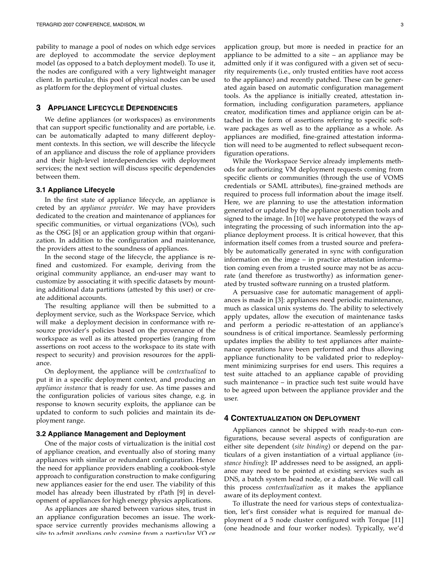pability to manage a pool of nodes on which edge services are deployed to accommodate the service deployment model (as opposed to a batch deployment model). To use it, the nodes are configured with a very lightweight manager client. In particular, this pool of physical nodes can be used as platform for the deployment of virtual clustes.

## **3 APPLIANCE LIFECYCLE DEPENDENCIES**

We define appliances (or workspaces) as environments that can support specific functionality and are portable, i.e. can be automatically adapted to many different deployment contexts. In this section, we will describe the lifecycle of an appliance and discuss the role of appliance providers and their high-level interdependencies with deployment services; the next section will discuss specific dependencies between them.

#### **3.1 Appliance Lifecycle**

In the first state of appliance lifecycle, an appliance is creted by an *appliance provider*. We may have providers dedicated to the creation and maintenance of appliances for specific communities, or virtual organizations (VOs), such as the OSG [8] or an application group within that organization. In addition to the configuration and maintenance, the providers attest to the soundness of appliances.

In the second stage of the lifecycle, the appliance is refined and customized. For example, deriving from the original community appliance, an end-user may want to customize by associating it with specific datasets by mounting additional data partitions (attested by this user) or create additional accounts.

The resulting appliance will then be submitted to a deployment service, such as the Workspace Service, which will make a deployment decision in conformance with resource provider's policies based on the provenance of the workspace as well as its attested properties (ranging from assertions on root access to the workspace to its state with respect to security) and provision resources for the appliance.

On deployment, the appliance will be *contextualized* to put it in a specific deployment context, and producing an *appliance instance* that is ready for use. As time passes and the configuration policies of various sites change, e.g. in response to known security exploits, the appliance can be updated to conform to such policies and maintain its deployment range.

#### **3.2 Appliance Management and Deployment**

One of the major costs of virtualization is the initial cost of appliance creation, and eventually also of storing many appliances with similar or redundant configuration. Hence the need for appliance providers enabling a cookbook-style approach to configuration construction to make configuring new appliances easier for the end user. The viability of this model has already been illustrated by rPath [9] in development of appliances for high energy physics applications.

As appliances are shared between various sites, trust in an appliance configuration becomes an issue. The workspace service currently provides mechanisms allowing a site to admit annlians only coming from a narticular VO or application group, but more is needed in practice for an appliance to be admitted to a site – an appliance may be admitted only if it was configured with a given set of security requirements (i.e., only trusted entities have root access to the appliance) and recently patched. These can be generated again based on automatic configuration management tools. As the appliance is initially created, attestation information, including configuration parameters, appliance creator, modification times and appliance origin can be attached in the form of assertions referring to specific software packages as well as to the appliance as a whole. As appliances are modified, fine-grained attestation information will need to be augmented to reflect subsequent reconfiguration operations.

While the Workspace Service already implements methods for authorizing VM deployment requests coming from specific clients or communities (through the use of VOMS credentials or SAML attributes), fine-grained methods are required to process full information about the image itself. Here, we are planning to use the attestation information generated or updated by the appliance generation tools and signed to the image. In [10] we have prototyped the ways of integrating the processing of such information into the appliance deployment process. It is critical however, that this information itself comes from a trusted source and preferably be automatically generated in sync with configuration information on the imge – in practice attestation information coming even from a trusted source may not be as accurate (and therefore as trustworthy) as information generated by trusted software running on a trusted platform.

A persuasive case for automatic management of appliances is made in [3]: appliances need periodic maintenance, much as classical unix systems do. The ability to selectively apply updates, allow the execution of maintenance tasks and perform a periodic re-attestation of an appliance's soundness is of critical importance. Seamlessly performing updates implies the ability to test appliances after maintenance operations have been performed and thus allowing appliance functionality to be validated prior to redeployment minimizing surprises for end users. This requires a test suite attached to an appliance capable of providing such maintenance – in practice such test suite would have to be agreed upon between the appliance provider and the user.

#### **4 CONTEXTUALIZATION ON DEPLOYMENT**

Appliances cannot be shipped with ready-to-run configurations, because several aspects of configuration are either site dependent (*site binding*) or depend on the particulars of a given instantiation of a virtual appliance (*instance binding*): IP addresses need to be assigned, an appliance may need to be pointed at existing services such as DNS, a batch system head node, or a database. We will call this process *contextualization* as it makes the appliance aware of its deployment context.

To illustrate the need for various steps of contextualization, let's first consider what is required for manual deployment of a 5 node cluster configured with Torque [11] (one headnode and four worker nodes). Typically, we'd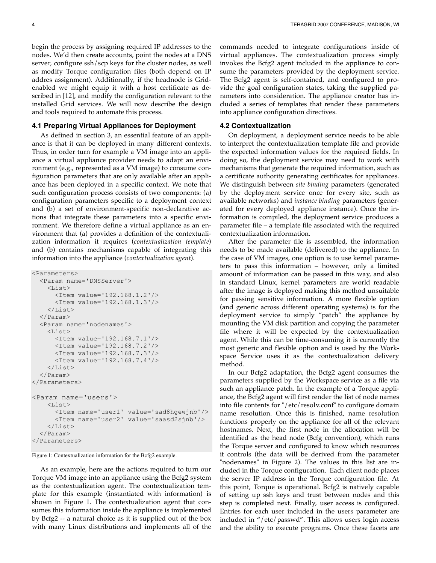begin the process by assigning required IP addresses to the nodes. We'd then create accounts, point the nodes at a DNS server, configure ssh/scp keys for the cluster nodes, as well as modify Torque configuration files (both depend on IP addres assignment). Additionally, if the headnode is Gridenabled we might equip it with a host certificate as described in [12], and modify the configuration relevant to the installed Grid services. We will now describe the design and tools required to automate this process.

## **4.1 Preparing Virtual Appliances for Deployment**

As defined in section 3, an essential feature of an appliance is that it can be deployed in many different contexts. Thus, in order turn for example a VM image into an appliance a virtual appliance provider needs to adapt an environment (e.g., represented as a VM image) to consume configuration parameters that are only available after an appliance has been deployed in a specific context. We note that such configuration process consists of two components: (a) configuration parameters specific to a deployment context and (b) a set of environment-specific non-declarative actions that integrate these parameters into a specific environment. We therefore define a virtual appliance as an environment that (a) provides a definition of the contextualization information it requires (*contextualization template*) and (b) contains mechanisms capable of integrating this information into the appliance (*contextualization agent*).

```
<Parameters>
  <Param name='DNSServer'>
    <List><Item value='192.168.1.2'/>
      <Item value='192.168.1.3'/>
    \langle/List>
  </Param>
  <Param name='nodenames'>
    \langleList\rangle<Item value='192.168.7.1'/>
      <Item value='192.168.7.2'/>
      <Item value='192.168.7.3'/>
      <Item value='192.168.7.4'/>
    \langle/List>
  </Param>
</Parameters>
<Param name='users'>
    \langleList\rangle<Item name='user1' value='sad8hgewjnb'/>
      <Item name='user2' value='saasd2sjnb'/>
    \langle/List>
  </Param>
</Parameters>
```
Figure 1: Contextualization information for the Bcfg2 example.

As an example, here are the actions required to turn our Torque VM image into an appliance using the Bcfg2 system as the contextualization agent. The contextualization template for this example (instantiated with information) is shown in Figure 1. The contextualization agent that consumes this information inside the appliance is implemented by Bcfg2 -- a natural choice as it is supplied out of the box with many Linux distributions and implements all of the

commands needed to integrate configurations inside of virtual appliances. The contextualization process simply invokes the Bcfg2 agent included in the appliance to consume the parameters provided by the deployment service. The Bcfg2 agent is self-contained, and configured to provide the goal configuration states, taking the supplied parameters into consideration. The appliance creator has included a series of templates that render these parameters into appliance configuration directives.

#### **4.2 Contextualization**

On deployment, a deployment service needs to be able to interpret the contextualization template file and provide the expected information values for the required fields. In doing so, the deployment service may need to work with mechanisms that generate the required information, such as a certificate authority generating certificates for appliances. We distinguish between *site binding* parameters (generated by the deployment service once for every site, such as available networks) and *instance binding* parameters (generated for every deployed appliance instance). Once the information is compiled, the deployment service produces a parameter file – a template file associated with the required contextualization information.

After the parameter file is assembled, the information needs to be made available (delivered) to the appliance. In the case of VM images, one option is to use kernel parameters to pass this information – however, only a limited amount of information can be passed in this way, and also in standard Linux, kernel parameters are world readable after the image is deployed making this method unsuitable for passing sensitive information. A more flexible option (and generic across different operating systems) is for the deployment service to simply "patch" the appliance by mounting the VM disk partition and copying the parameter file where it will be expected by the contextualization agent. While this can be time-consuming it is currently the most generic and flexible option and is used by the Workspace Service uses it as the contextualization delivery method.

In our Bcfg2 adaptation, the Bcfg2 agent consumes the parameters supplied by the Workspace service as a file via such an appliance patch. In the example of a Torque appliance, the Bcfg2 agent will first render the list of node names into file contents for "/etc/resolv.conf" to configure domain name resolution. Once this is finished, name resolution functions properly on the appliance for all of the relevant hostnames. Next, the first node in the allocation will be identified as the head node (Bcfg convention), which runs the Torque server and configured to know which resources it controls (the data will be derived from the parameter "nodenames" in Figure 2). The values in this list are included in the Torque configuration. Each client node places the server IP address in the Torque configuration file. At this point, Torque is operational. Bcfg2 is natively capable of setting up ssh keys and trust between nodes and this step is completed next. Finally, user access is configured. Entries for each user included in the users parameter are included in "/etc/passwd". This allows users login access and the ability to execute programs. Once these facets are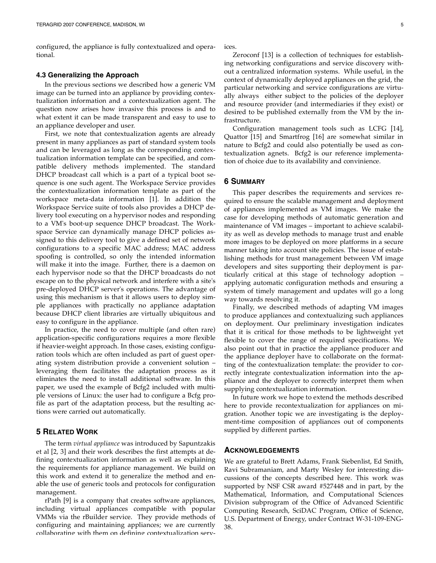configured, the appliance is fully contextualized and operational.

#### **4.3 Generalizing the Approach**

In the previous sections we described how a generic VM image can be turned into an appliance by providing contextualization information and a contextualization agent. The question now arises how invasive this process is and to what extent it can be made transparent and easy to use to an appliance developer and user.

First, we note that contextualization agents are already present in many appliances as part of standard system tools and can be leveraged as long as the corresponding contextualization information template can be specified, and compatible delivery methods implemented. The standard DHCP broadcast call which is a part of a typical boot sequence is one such agent. The Workspace Service provides the contextualization information template as part of the workspace meta-data information [1]. In addition the Workspace Service suite of tools also provides a DHCP delivery tool executing on a hypervisor nodes and responding to a VM's boot-up sequence DHCP broadcast. The Workspace Service can dynamically manage DHCP policies assigned to this delivery tool to give a defined set of network configurations to a specific MAC address; MAC address spoofing is controlled, so only the intended information will make it into the image. Further, there is a daemon on each hypervisor node so that the DHCP broadcasts do not escape on to the physical network and interfere with a site's pre-deployed DHCP server's operations. The advantage of using this mechanism is that it allows users to deploy simple appliances with practically no appliance adaptation because DHCP client libraries are virtually ubiquitous and easy to configure in the appliance.

In practice, the need to cover multiple (and often rare) application-specific configurations requires a more flexible if heavier-weight approach. In those cases, existing configuration tools which are often included as part of guest operating system distribution provide a convenient solution – leveraging them facilitates the adaptation process as it eliminates the need to install additional software. In this paper, we used the example of Bcfg2 included with multiple versions of Linux: the user had to configure a Bcfg profile as part of the adaptation process, but the resulting actions were carried out automatically.

## **5 RELATED WORK**

The term *virtual appliance* was introduced by Sapuntzakis et al [2, 3] and their work describes the first attempts at defining contextualization information as well as explaining the requirements for appliance management. We build on this work and extend it to generalize the method and enable the use of generic tools and protocols for configuration management.

rPath [9] is a company that creates software appliances, including virtual appliances compatible with popular VMMs via the rBuilder service. They provide methods of configuring and maintaining appliances; we are currently collaborating with them on defining contextualization services.

Zeroconf [13] is a collection of techniques for establishing networking configurations and service discovery without a centralized information systems. While useful, in the context of dynamically deployed appliances on the grid, the particular networking and service configurations are virtually always either subject to the policies of the deployer and resource provider (and intermediaries if they exist) or desired to be published externally from the VM by the infrastructure.

Configuration management tools such as LCFG [14], Quattor [15] and Smartfrog [16] are somewhat similar in nature to Bcfg2 and could also potentially be used as contextualization agnets. Bcfg2 is our reference implementation of choice due to its availability and convinience.

#### **6 SUMMARY**

This paper describes the requirements and services required to ensure the scalable management and deployment of appliances implemented as VM images. We make the case for developing methods of automatic generation and maintenance of VM images – important to achieve scalability as well as develop methods to manage trust and enable more images to be deployed on more platforms in a secure manner taking into account site policies. The issue of establishing methods for trust management between VM image developers and sites supporting their deployment is particularly critical at this stage of technology adoption – applying automatic configuration methods and ensuring a system of timely management and updates will go a long way towards resolving it.

Finally, we described methods of adapting VM images to produce appliances and contextualizing such appliances on deployment. Our preliminary investigation indicates that it is critical for those methods to be lightweight yet flexible to cover the range of required specifications. We also point out that in practice the appliance producer and the appliance deployer have to collaborate on the formatting of the contextualization template: the provider to correctly integrate contextualization information into the appliance and the deployer to correctly interpret them when supplying contextualization information.

In future work we hope to extend the methods described here to provide recontextualization for appliances on migration. Another topic we are investigating is the deployment-time composition of appliances out of components supplied by different parties.

#### **ACKNOWLEDGEMENTS**

We are grateful to Brett Adams, Frank Siebenlist, Ed Smith, Ravi Subramaniam, and Marty Wesley for interesting discussions of the concepts described here. This work was supported by NSF CSR award #527448 and in part, by the Mathematical, Information, and Computational Sciences Division subprogram of the Office of Advanced Scientific Computing Research, SciDAC Program, Office of Science, U.S. Department of Energy, under Contract W-31-109-ENG-38.